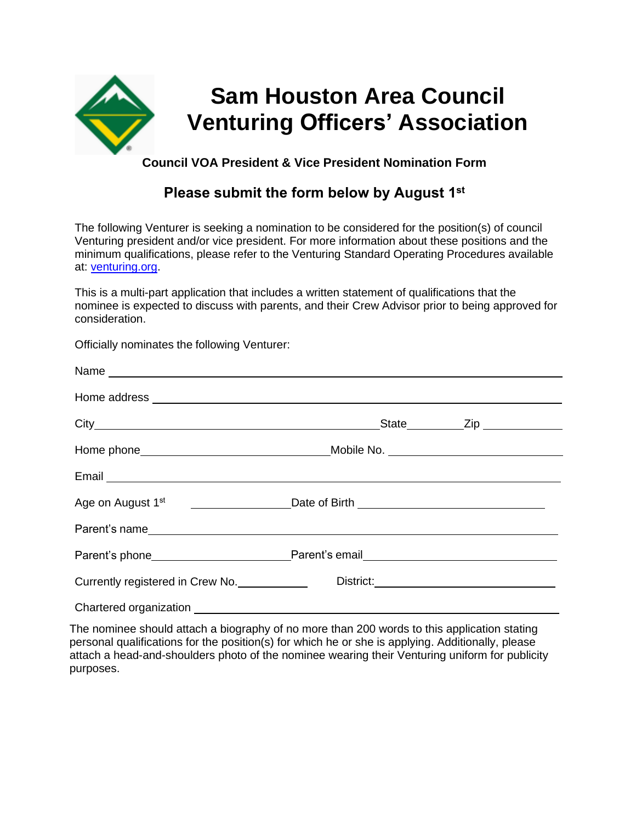

#### **Council VOA President & Vice President Nomination Form**

## **Please submit the form below by August 1st**

The following Venturer is seeking a nomination to be considered for the position(s) of council Venturing president and/or vice president. For more information about these positions and the minimum qualifications, please refer to the Venturing Standard Operating Procedures available at: venturing.org.

This is a multi-part application that includes a written statement of qualifications that the nominee is expected to discuss with parents, and their Crew Advisor prior to being approved for consideration.

Officially nominates the following Venturer:

| Email <b>Exercise Contract Contract Contract Contract Contract Contract Contract Contract Contract Contract Contract Contract Contract Contract Contract Contract Contract Contract Contract Contract Contract Contract Contract</b> |  |
|--------------------------------------------------------------------------------------------------------------------------------------------------------------------------------------------------------------------------------------|--|
|                                                                                                                                                                                                                                      |  |
|                                                                                                                                                                                                                                      |  |
|                                                                                                                                                                                                                                      |  |
| Currently registered in Crew No.                                                                                                                                                                                                     |  |
|                                                                                                                                                                                                                                      |  |

The nominee should attach a biography of no more than 200 words to this application stating personal qualifications for the position(s) for which he or she is applying. Additionally, please attach a head-and-shoulders photo of the nominee wearing their Venturing uniform for publicity purposes.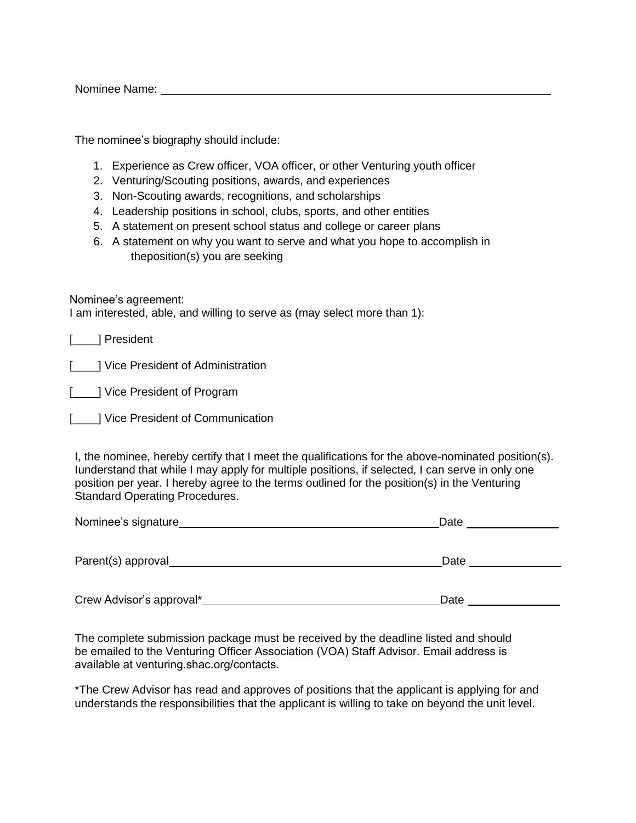Nominee Name:

The nominee's biography should include:

- 1. Experience as Crew officer, VOA officer, or other Venturing youth officer
- 2. Venturing/Scouting positions, awards, and experiences
- 3. Non-Scouting awards, recognitions, and scholarships
- 4. Leadership positions in school, clubs, sports, and other entities
- 5. A statement on present school status and college or career plans
- 6. A statement on why you want to serve and what you hope to accomplish in theposition(s) you are seeking

Nominee's agreement:

I am interested, able, and willing to serve as (may select more than 1):

[\_\_\_\_\_] President

[**\_\_\_\_]** Vice President of Administration

[  $\blacksquare$  ] Vice President of Program

[**inclear**] Vice President of Communication

I, the nominee, hereby certify that I meet the qualifications for the above-nominated position(s). Iunderstand that while I may apply for multiple positions, if selected, I can serve in only one position per year. I hereby agree to the terms outlined for the position(s) in the Venturing Standard Operating Procedures.

| Nominee's signature_ | Date |
|----------------------|------|
| Parent(s) approval   | Date |
|                      |      |

Crew Advisor's approval\* <u>Date and the Crew Advisor's approval</u>

The complete submission package must be received by the deadline listed and should be emailed to the Venturing Officer Association (VOA) Staff Advisor. Email address is available at venturing.shac.org/contacts.

\*The [Crew Advisor has read and app](mailto:Erick.Simmons@scouting.org)roves of positions that the applicant is applying for and understands the responsibilities that the applicant is willing to take on beyond the unit level.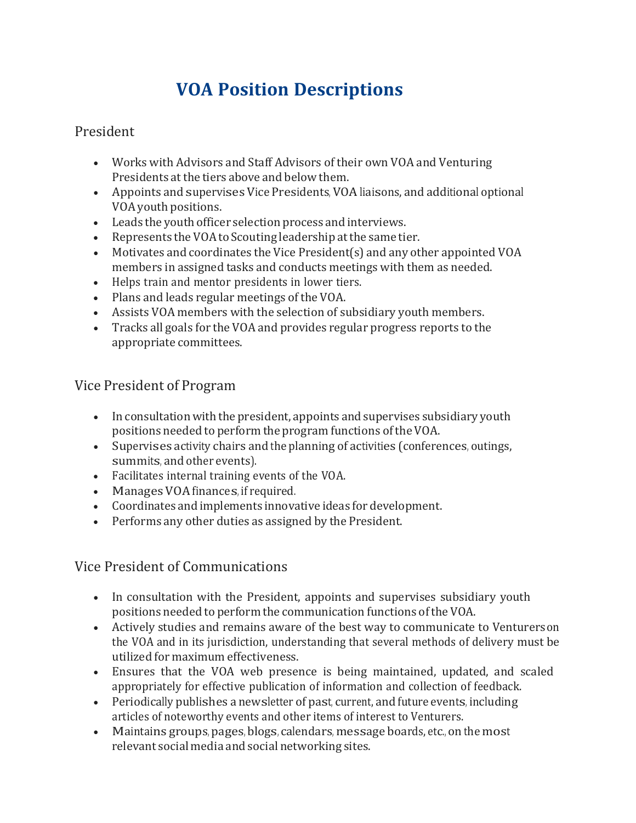# **VOA Position Descriptions**

#### President

- Works with Advisors and Staff Advisors of their own VOA and Venturing Presidents at the tiers above and below them.
- Appoints and supervises Vice Presidents, VOAliaisons, and additional optional VOA youth positions.
- Leads the youth officer selection process and interviews.
- Represents the VOA to Scouting leadership at the same tier.
- Motivates and coordinates the Vice President(s) and any other appointed VOA members in assigned tasks and conducts meetings with them as needed.
- Helps train and mentor presidents in lower tiers.
- Plans and leads regular meetings of the VOA.
- Assists VOA members with the selection of subsidiary youth members.
- Tracks all goals for the VOA and provides regular progress reports to the appropriate committees.

### Vice President of Program

- In consultation with the president, appoints and supervises subsidiary youth positions needed to perform the program functions ofthe VOA.
- Supervises activity chairs and the planning of activities (conferences, outings, summits, and other events).
- Facilitates internal training events of the VOA.
- Manages VOA finances, if required.
- Coordinates and implements innovative ideas for development.
- Performs any other duties as assigned by the President.

#### Vice President of Communications

- In consultation with the President, appoints and supervises subsidiary youth positions needed to perform the communication functions of the VOA.
- Actively studies and remains aware of the best way to communicate to Venturerson the VOA and in its jurisdiction, understanding that several methods of delivery must be utilized for maximum effectiveness.
- Ensures that the VOA web presence is being maintained, updated, and scaled appropriately for effective publication of information and collection of feedback.
- Periodically publishes a newsletter of past, current, and future events, including articles of noteworthy events and other items of interest to Venturers.
- Maintains groups, pages, blogs, calendars, message boards, etc., on the most relevant social media and social networking sites.